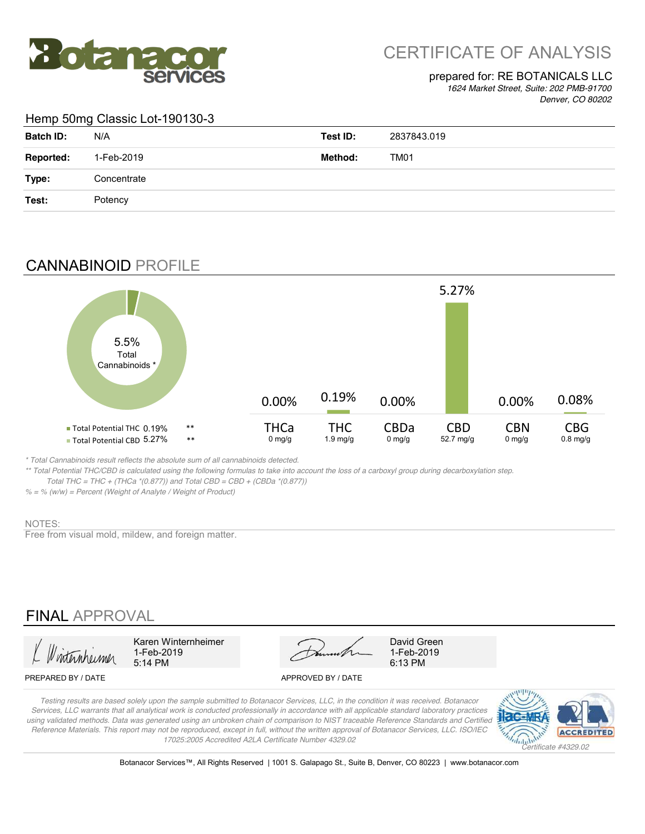

# CERTIFICATE OF ANALYSIS

### prepared for: RE BOTANICALS LLC

*1624 Market Street, Suite: 202 PMB-91700 Denver, CO 80202*

#### Hemp 50mg Classic Lot-190130-3

| <b>Batch ID:</b> | N/A         | Test ID: | 2837843.019 |
|------------------|-------------|----------|-------------|
| <b>Reported:</b> | 1-Feb-2019  | Method:  | TM01        |
| Type:            | Concentrate |          |             |
| Test:            | Potency     |          |             |

## CANNABINOID PROFILE



*\* Total Cannabinoids result reflects the absolute sum of all cannabinoids detected.*

*\*\* Total Potential THC/CBD is calculated using the following formulas to take into account the loss of a carboxyl group during decarboxylation step. Total THC = THC + (THCa \*(0.877)) and Total CBD = CBD + (CBDa \*(0.877))*

*% = % (w/w) = Percent (Weight of Analyte / Weight of Product)*

### NOTES:

Free from visual mold, mildew, and foreign matter.

## FINAL APPROVAL

5:14 PM 6:13 PM 1-Feb-2019

Karen Winternheimer David Green

1-Feb-2019

#### PREPARED BY / DATE APPROVED BY / DATE

*Testing results are based solely upon the sample submitted to Botanacor Services, LLC, in the condition it was received. Botanacor Services, LLC warrants that all analytical work is conducted professionally in accordance with all applicable standard laboratory practices using validated methods. Data was generated using an unbroken chain of comparison to NIST traceable Reference Standards and Certified Reference Materials. This report may not be reproduced, except in full, without the written approval of Botanacor Services, LLC. ISO/IEC 17025:2005 Accredited A2LA Certificate Number 4329.02*



Botanacor Services™, All Rights Reserved | 1001 S. Galapago St., Suite B, Denver, CO 80223 | www.botanacor.com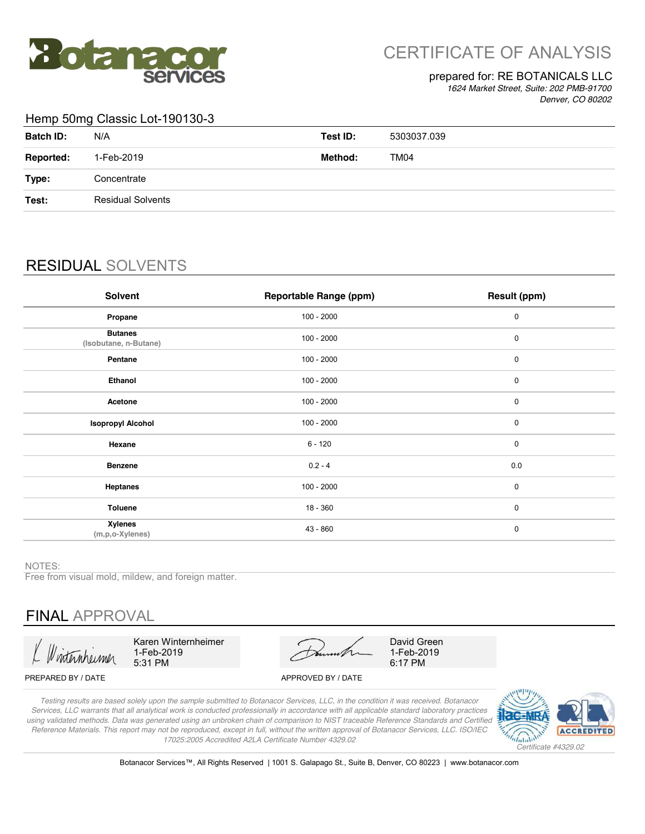

# CERTIFICATE OF ANALYSIS

#### prepared for: RE BOTANICALS LLC

*1624 Market Street, Suite: 202 PMB-91700 Denver, CO 80202*

#### Hemp 50mg Classic Lot-190130-3

| <b>Batch ID:</b> | N/A                      | Test ID: | 5303037.039 |
|------------------|--------------------------|----------|-------------|
| <b>Reported:</b> | 1-Feb-2019               | Method:  | TM04        |
| Type:            | Concentrate              |          |             |
| Test:            | <b>Residual Solvents</b> |          |             |
|                  |                          |          |             |

## RESIDUAL SOLVENTS

| Solvent                                 | <b>Reportable Range (ppm)</b> | Result (ppm) |
|-----------------------------------------|-------------------------------|--------------|
| Propane                                 | $100 - 2000$                  | 0            |
| <b>Butanes</b><br>(Isobutane, n-Butane) | $100 - 2000$                  | 0            |
| Pentane                                 | $100 - 2000$                  | 0            |
| Ethanol                                 | $100 - 2000$                  | 0            |
| Acetone                                 | $100 - 2000$                  | 0            |
| <b>Isopropyl Alcohol</b>                | $100 - 2000$                  | 0            |
| Hexane                                  | $6 - 120$                     | $\mathbf 0$  |
| <b>Benzene</b>                          | $0.2 - 4$                     | 0.0          |
| <b>Heptanes</b>                         | $100 - 2000$                  | $\mathbf 0$  |
| <b>Toluene</b>                          | $18 - 360$                    | $\mathbf 0$  |
| <b>Xylenes</b><br>$(m, p, o$ -Xylenes)  | $43 - 860$                    | $\mathbf 0$  |

NOTES:

Free from visual mold, mildew, and foreign matter.

## FINAL APPROVAL

Karen Winternheimer 1-Feb-2019 5:31 PM

David Green 1-Feb-2019 6:17 PM

#### PREPARED BY / DATE APPROVED BY / DATE

*Testing results are based solely upon the sample submitted to Botanacor Services, LLC, in the condition it was received. Botanacor Services, LLC warrants that all analytical work is conducted professionally in accordance with all applicable standard laboratory practices using validated methods. Data was generated using an unbroken chain of comparison to NIST traceable Reference Standards and Certified Reference Materials. This report may not be reproduced, except in full, without the written approval of Botanacor Services, LLC. ISO/IEC 17025:2005 Accredited A2LA Certificate Number 4329.02*



Botanacor Services™, All Rights Reserved | 1001 S. Galapago St., Suite B, Denver, CO 80223 | www.botanacor.com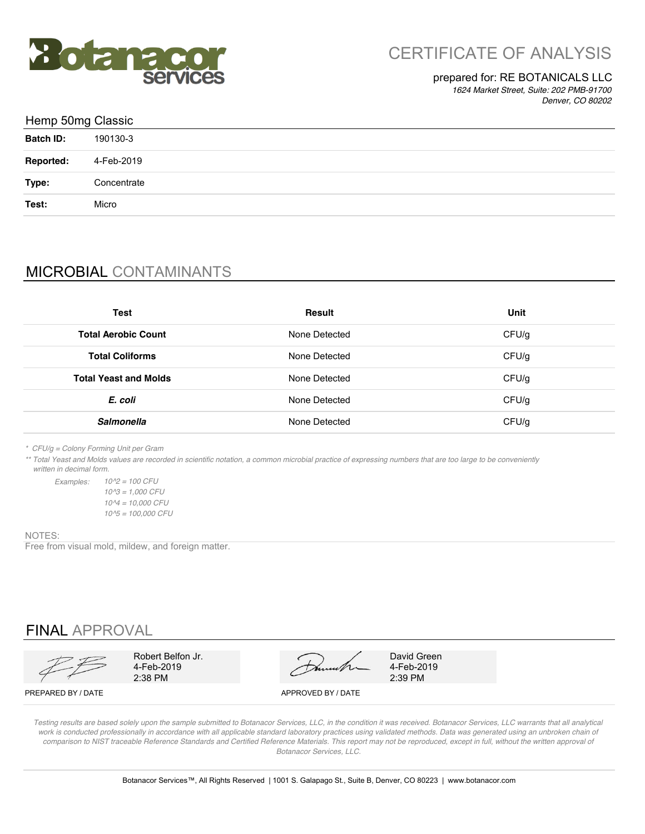

### prepared for: RE BOTANICALS LLC

*1624 Market Street, Suite: 202 PMB-91700 Denver, CO 80202*

| Hemp 50mg Classic |             |  |  |
|-------------------|-------------|--|--|
| <b>Batch ID:</b>  | 190130-3    |  |  |
| <b>Reported:</b>  | 4-Feb-2019  |  |  |
| Type:             | Concentrate |  |  |
| Test:             | Micro       |  |  |
|                   |             |  |  |

## MICROBIAL CONTAMINANTS

| <b>Test</b>                  | <b>Result</b> | Unit  |
|------------------------------|---------------|-------|
| <b>Total Aerobic Count</b>   | None Detected | CFU/g |
| <b>Total Coliforms</b>       | None Detected | CFU/g |
| <b>Total Yeast and Molds</b> | None Detected | CFU/g |
| E. coli                      | None Detected | CFU/g |
| Salmonella                   | None Detected | CFU/g |

*\* CFU/g = Colony Forming Unit per Gram*

*\*\* Total Yeast and Molds values are recorded in scientific notation, a common microbial practice of expressing numbers that are too large to be conveniently written in decimal form.*

*Examples: 10^2 = 100 CFU 10^5 = 100,000 CFU 10^3 = 1,000 CFU 10^4 = 10,000 CFU*

#### NOTES:

Free from visual mold, mildew, and foreign matter.

## FINAL APPROVAL

4-Feb-2019

اف Robert Belton Jr.<br>2-2019 4-Feb-2019 4-Feb-2019<br>2:38 PM 2:39 PM 2:39 PM Robert Belfon Jr. David Green

4-Feb-2019

PREPARED BY / DATE APPROVED BY / DATE

*Testing results are based solely upon the sample submitted to Botanacor Services, LLC, in the condition it was received. Botanacor Services, LLC warrants that all analytical*  work is conducted professionally in accordance with all applicable standard laboratory practices using validated methods. Data was generated using an unbroken chain of comparison to NIST traceable Reference Standards and Certified Reference Materials. This report may not be reproduced, except in full, without the written approval of *Botanacor Services, LLC.*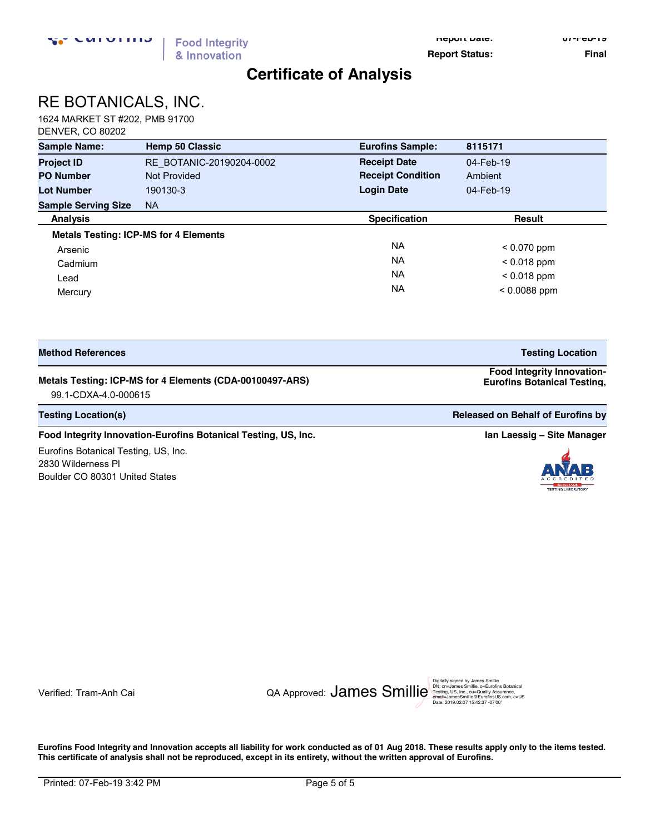**Report Date: 07-Feb-19**

**Report Status:** Final

## **Certificate of Analysis**

# RE BOTANICALS, INC.

1624 MARKET ST #202, PMB 91700 DENVER, CO 80202

| <b>Sample Name:</b>                          | <b>Hemp 50 Classic</b>   | <b>Eurofins Sample:</b>  | 8115171        |
|----------------------------------------------|--------------------------|--------------------------|----------------|
| <b>Project ID</b>                            | RE BOTANIC-20190204-0002 | <b>Receipt Date</b>      | 04-Feb-19      |
| <b>PO Number</b>                             | <b>Not Provided</b>      | <b>Receipt Condition</b> | Ambient        |
| <b>Lot Number</b>                            | 190130-3                 | <b>Login Date</b>        | 04-Feb-19      |
| <b>Sample Serving Size</b>                   | <b>NA</b>                |                          |                |
| <b>Analysis</b>                              |                          | <b>Specification</b>     | <b>Result</b>  |
| <b>Metals Testing: ICP-MS for 4 Elements</b> |                          |                          |                |
| Arsenic                                      |                          | <b>NA</b>                | $< 0.070$ ppm  |
| Cadmium                                      |                          | <b>NA</b>                | $< 0.018$ ppm  |
| Lead                                         |                          | <b>NA</b>                | $< 0.018$ ppm  |
| Mercury                                      |                          | <b>NA</b>                | $< 0.0088$ ppm |

| <b>Method References</b> |  |
|--------------------------|--|
|--------------------------|--|

#### **Metals Testing: ICP-MS for 4 Elements (CDA-00100497-ARS)**

99.1-CDXA-4.0-000615 **US, Inc.** 

**Testing Location(s) Released on Behalf of Eurofins by Released on Behalf of Eurofins by Released on Behalf of Eurofins by** 

#### **Food Integrity Innovation-Eurofins Botanical Testing, US, Inc. <b>In Accord 2018 In Laessig -** Site Manager

Eurofins Botanical Testing, US, Inc. 2830 Wilderness Pl Boulder CO 80301 United States

**Eurofins Botanical Testing,** 





Date: 2019.02.07 15:42:37 -07'00'

**Eurofins Food Integrity and Innovation accepts all liability for work conducted as of 01 Aug 2018. These results apply only to the items tested. This certificate of analysis shall not be reproduced, except in its entirety, without the written approval of Eurofins.** 

**Testing Location Food Integrity Innovation-**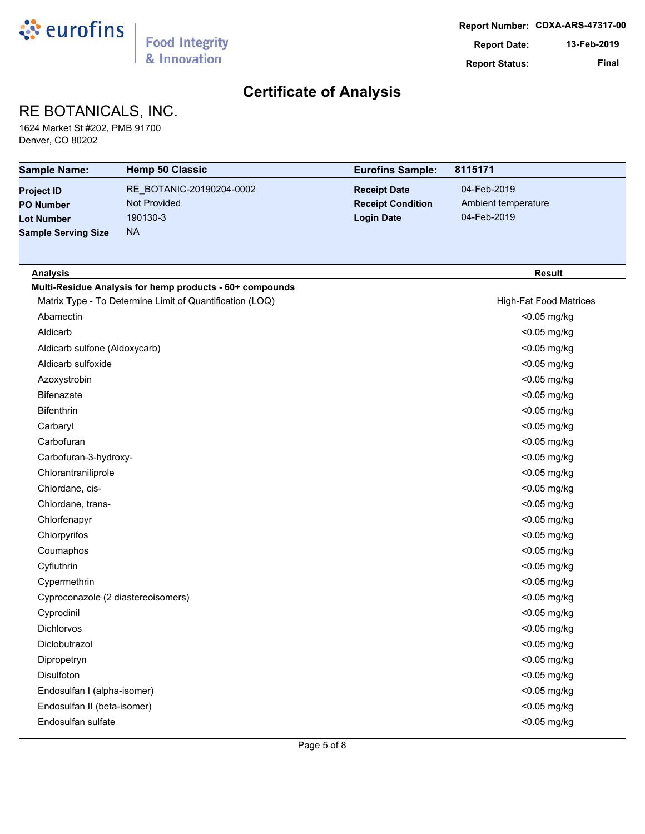

## RE BOTANICALS, INC.

1624 Market St #202, PMB 91700 Denver, CO 80202

| <b>Sample Name:</b>                                                                      | <b>Hemp 50 Classic</b>                                            | <b>Eurofins Sample:</b>                                              | 8115171                                           |
|------------------------------------------------------------------------------------------|-------------------------------------------------------------------|----------------------------------------------------------------------|---------------------------------------------------|
| <b>Project ID</b><br><b>PO Number</b><br><b>Lot Number</b><br><b>Sample Serving Size</b> | RE_BOTANIC-20190204-0002<br>Not Provided<br>190130-3<br><b>NA</b> | <b>Receipt Date</b><br><b>Receipt Condition</b><br><b>Login Date</b> | 04-Feb-2019<br>Ambient temperature<br>04-Feb-2019 |
|                                                                                          |                                                                   |                                                                      |                                                   |
| <b>Analysis</b>                                                                          |                                                                   |                                                                      | <b>Result</b>                                     |
|                                                                                          | Multi-Residue Analysis for hemp products - 60+ compounds          |                                                                      |                                                   |
|                                                                                          | Matrix Type - To Determine Limit of Quantification (LOQ)          |                                                                      | <b>High-Fat Food Matrices</b>                     |
| Abamectin                                                                                |                                                                   |                                                                      | <0.05 mg/kg                                       |
| Aldicarb                                                                                 |                                                                   |                                                                      | <0.05 mg/kg                                       |
| Aldicarb sulfone (Aldoxycarb)                                                            |                                                                   |                                                                      | <0.05 mg/kg                                       |
| Aldicarb sulfoxide                                                                       |                                                                   |                                                                      | <0.05 mg/kg                                       |
| Azoxystrobin                                                                             |                                                                   |                                                                      | <0.05 mg/kg                                       |
| <b>Bifenazate</b>                                                                        |                                                                   |                                                                      | <0.05 mg/kg                                       |
| <b>Bifenthrin</b>                                                                        |                                                                   |                                                                      | <0.05 mg/kg                                       |
| Carbaryl                                                                                 |                                                                   |                                                                      | <0.05 mg/kg                                       |
| Carbofuran                                                                               |                                                                   |                                                                      | <0.05 mg/kg                                       |
| Carbofuran-3-hydroxy-                                                                    |                                                                   |                                                                      | <0.05 mg/kg                                       |
| Chlorantraniliprole                                                                      |                                                                   |                                                                      | <0.05 mg/kg                                       |
| Chlordane, cis-                                                                          |                                                                   |                                                                      | <0.05 mg/kg                                       |
| Chlordane, trans-                                                                        |                                                                   |                                                                      | <0.05 mg/kg                                       |
| Chlorfenapyr                                                                             |                                                                   |                                                                      | <0.05 mg/kg                                       |
| Chlorpyrifos                                                                             |                                                                   |                                                                      | <0.05 mg/kg                                       |
| Coumaphos                                                                                |                                                                   |                                                                      | <0.05 mg/kg                                       |
| Cyfluthrin                                                                               |                                                                   |                                                                      | <0.05 mg/kg                                       |
| Cypermethrin                                                                             |                                                                   |                                                                      | <0.05 mg/kg                                       |
| Cyproconazole (2 diastereoisomers)                                                       |                                                                   |                                                                      | <0.05 mg/kg                                       |
| Cyprodinil                                                                               |                                                                   |                                                                      | <0.05 mg/kg                                       |
| <b>Dichlorvos</b>                                                                        |                                                                   |                                                                      | <0.05 mg/kg                                       |
| Diclobutrazol                                                                            |                                                                   |                                                                      | <0.05 mg/kg                                       |
| Dipropetryn                                                                              |                                                                   |                                                                      | <0.05 mg/kg                                       |
| Disulfoton                                                                               |                                                                   |                                                                      | <0.05 mg/kg                                       |
| Endosulfan I (alpha-isomer)                                                              |                                                                   |                                                                      | <0.05 mg/kg                                       |
| Endosulfan II (beta-isomer)                                                              |                                                                   |                                                                      | <0.05 mg/kg                                       |
| Endosulfan sulfate                                                                       |                                                                   |                                                                      | <0.05 mg/kg                                       |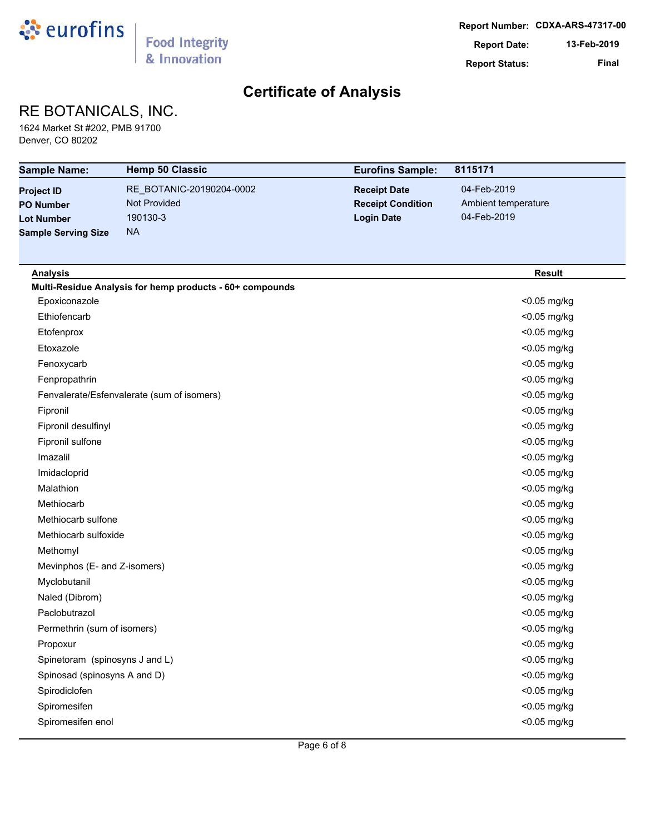

## RE BOTANICALS, INC.

1624 Market St #202, PMB 91700 Denver, CO 80202

| <b>Sample Name:</b>                                                                      | <b>Hemp 50 Classic</b>                                                   | <b>Eurofins Sample:</b>                                              | 8115171                                           |
|------------------------------------------------------------------------------------------|--------------------------------------------------------------------------|----------------------------------------------------------------------|---------------------------------------------------|
| <b>Project ID</b><br><b>PO Number</b><br><b>Lot Number</b><br><b>Sample Serving Size</b> | RE_BOTANIC-20190204-0002<br><b>Not Provided</b><br>190130-3<br><b>NA</b> | <b>Receipt Date</b><br><b>Receipt Condition</b><br><b>Login Date</b> | 04-Feb-2019<br>Ambient temperature<br>04-Feb-2019 |
| <b>Analysis</b>                                                                          |                                                                          |                                                                      | <b>Result</b>                                     |
|                                                                                          | Multi-Residue Analysis for hemp products - 60+ compounds                 |                                                                      |                                                   |
| Epoxiconazole                                                                            |                                                                          |                                                                      | <0.05 mg/kg                                       |
| Ethiofencarb                                                                             |                                                                          |                                                                      | <0.05 mg/kg                                       |
| Etofenprox                                                                               |                                                                          |                                                                      | <0.05 mg/kg                                       |
| Etoxazole                                                                                |                                                                          |                                                                      | <0.05 mg/kg                                       |
| Fenoxycarb                                                                               |                                                                          |                                                                      | <0.05 mg/kg                                       |
| Fenpropathrin                                                                            |                                                                          |                                                                      | <0.05 mg/kg                                       |
|                                                                                          | Fenvalerate/Esfenvalerate (sum of isomers)                               |                                                                      | <0.05 mg/kg                                       |
| Fipronil                                                                                 |                                                                          |                                                                      | <0.05 mg/kg                                       |
| Fipronil desulfinyl                                                                      |                                                                          |                                                                      | <0.05 mg/kg                                       |
| Fipronil sulfone                                                                         |                                                                          |                                                                      | <0.05 mg/kg                                       |
| Imazalil                                                                                 |                                                                          |                                                                      | <0.05 mg/kg                                       |
| Imidacloprid                                                                             |                                                                          |                                                                      | <0.05 mg/kg                                       |
| Malathion                                                                                |                                                                          |                                                                      | <0.05 mg/kg                                       |
| Methiocarb                                                                               |                                                                          |                                                                      | <0.05 mg/kg                                       |
| Methiocarb sulfone                                                                       |                                                                          |                                                                      | <0.05 mg/kg                                       |
| Methiocarb sulfoxide                                                                     |                                                                          |                                                                      | <0.05 mg/kg                                       |
| Methomyl                                                                                 |                                                                          |                                                                      | <0.05 mg/kg                                       |
| Mevinphos (E- and Z-isomers)                                                             |                                                                          |                                                                      | <0.05 mg/kg                                       |
| Myclobutanil                                                                             |                                                                          |                                                                      | <0.05 mg/kg                                       |
| Naled (Dibrom)                                                                           |                                                                          |                                                                      | <0.05 mg/kg                                       |
| Paclobutrazol                                                                            |                                                                          |                                                                      | <0.05 mg/kg                                       |
| Permethrin (sum of isomers)                                                              |                                                                          |                                                                      | <0.05 mg/kg                                       |
| Propoxur                                                                                 |                                                                          |                                                                      | <0.05 mg/kg                                       |
| Spinetoram (spinosyns J and L)                                                           |                                                                          |                                                                      | <0.05 mg/kg                                       |
| Spinosad (spinosyns A and D)                                                             |                                                                          |                                                                      | <0.05 mg/kg                                       |
| Spirodiclofen                                                                            |                                                                          |                                                                      | <0.05 mg/kg                                       |
| Spiromesifen                                                                             |                                                                          |                                                                      | <0.05 mg/kg                                       |
| Spiromesifen enol                                                                        |                                                                          |                                                                      | <0.05 mg/kg                                       |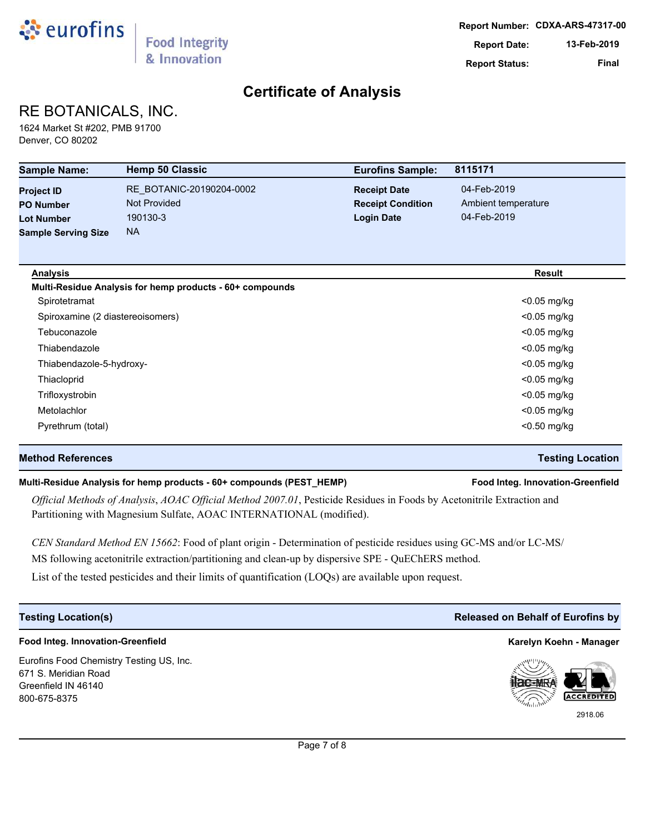

# RE BOTANICALS, INC.

1624 Market St #202, PMB 91700 Denver, CO 80202

| <b>Sample Name:</b>              | <b>Hemp 50 Classic</b>                                   | <b>Eurofins Sample:</b>  | 8115171             |
|----------------------------------|----------------------------------------------------------|--------------------------|---------------------|
| <b>Project ID</b>                | RE_BOTANIC-20190204-0002                                 | <b>Receipt Date</b>      | 04-Feb-2019         |
| <b>PO Number</b>                 | <b>Not Provided</b>                                      | <b>Receipt Condition</b> | Ambient temperature |
| <b>Lot Number</b>                | 190130-3                                                 | <b>Login Date</b>        | 04-Feb-2019         |
| <b>Sample Serving Size</b>       | <b>NA</b>                                                |                          |                     |
| <b>Analysis</b>                  |                                                          |                          | <b>Result</b>       |
|                                  | Multi-Residue Analysis for hemp products - 60+ compounds |                          |                     |
| Spirotetramat                    |                                                          |                          | <0.05 mg/kg         |
| Spiroxamine (2 diastereoisomers) |                                                          |                          | $<$ 0.05 mg/kg      |
| Tebuconazole                     |                                                          |                          | $<$ 0.05 mg/kg      |
| Thiabendazole                    |                                                          |                          | $<$ 0.05 mg/kg      |
| Thiabendazole-5-hydroxy-         |                                                          |                          | $<$ 0.05 mg/kg      |
| Thiacloprid                      |                                                          |                          | $<$ 0.05 mg/kg      |
| Trifloxystrobin                  |                                                          |                          | $<$ 0.05 mg/kg      |
| Metolachlor                      |                                                          |                          | <0.05 mg/kg         |
| Pyrethrum (total)                |                                                          |                          | $<$ 0.50 mg/kg      |
|                                  |                                                          |                          |                     |

### **Method References Testing Location**

### **Multi-Residue Analysis for hemp products - 60+ compounds (PEST\_HEMP) Food Integ. Innovation-Greenfield**

*Official Methods of Analysis*, *AOAC Official Method 2007.01*, Pesticide Residues in Foods by Acetonitrile Extraction and Partitioning with Magnesium Sulfate, AOAC INTERNATIONAL (modified).

*CEN Standard Method EN 15662*: Food of plant origin - Determination of pesticide residues using GC-MS and/or LC-MS/ MS following acetonitrile extraction/partitioning and clean-up by dispersive SPE - QuEChERS method.

List of the tested pesticides and their limits of quantification (LOQs) are available upon request.

#### **Food Integ. Innovation-Greenfield Karelyn Koehn - Manager**

Eurofins Food Chemistry Testing US, Inc. 671 S. Meridian Road Greenfield IN 46140 800-675-8375

#### **Testing Location(s) Released on Behalf of Eurofins by**



2918.06